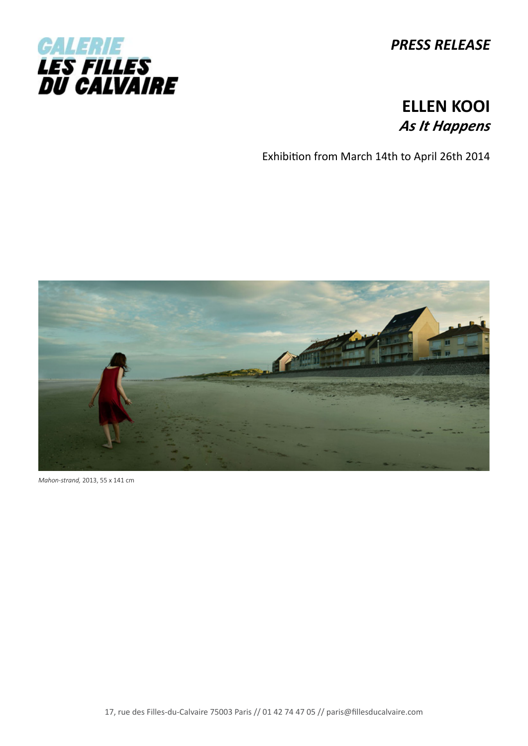

*PRESS RELEASE*

## **ELLEN KOOI** *As It Happens*

Exhibition from March 14th to April 26th 2014



*Mahon-strand,* 2013, 55 x 141 cm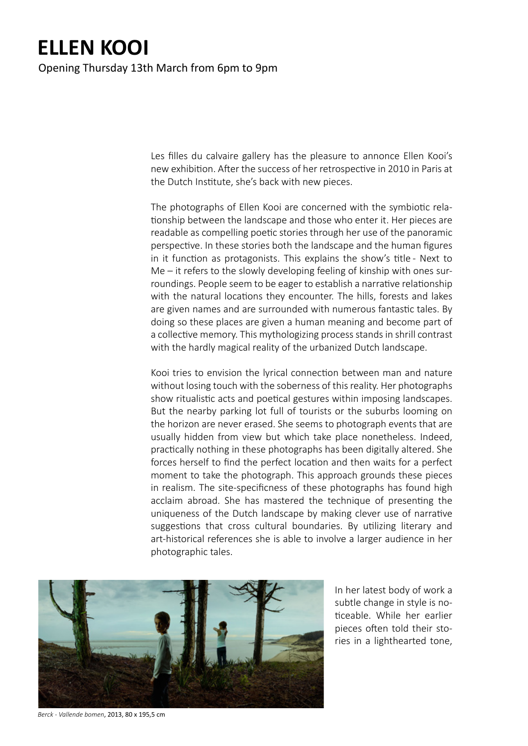## **ELLEN KOOI** Opening Thursday 13th March from 6pm to 9pm

Les filles du calvaire gallery has the pleasure to annonce Ellen Kooi's new exhibition. After the success of her retrospective in 2010 in Paris at the Dutch Institute, she's back with new pieces.

The photographs of Ellen Kooi are concerned with the symbiotic relationship between the landscape and those who enter it. Her pieces are readable as compelling poetic stories through her use of the panoramic perspective. In these stories both the landscape and the human figures in it function as protagonists. This explains the show's title - Next to Me – it refers to the slowly developing feeling of kinship with ones surroundings. People seem to be eager to establish a narrative relationship with the natural locations they encounter. The hills, forests and lakes are given names and are surrounded with numerous fantastic tales. By doing so these places are given a human meaning and become part of a collective memory. This mythologizing process stands in shrill contrast with the hardly magical reality of the urbanized Dutch landscape.

Kooi tries to envision the lyrical connection between man and nature without losing touch with the soberness of this reality. Her photographs show ritualistic acts and poetical gestures within imposing landscapes. But the nearby parking lot full of tourists or the suburbs looming on the horizon are never erased. She seems to photograph events that are usually hidden from view but which take place nonetheless. Indeed, practically nothing in these photographs has been digitally altered. She forces herself to find the perfect location and then waits for a perfect moment to take the photograph. This approach grounds these pieces in realism. The site-specificness of these photographs has found high acclaim abroad. She has mastered the technique of presenting the uniqueness of the Dutch landscape by making clever use of narrative suggestions that cross cultural boundaries. By utilizing literary and art-historical references she is able to involve a larger audience in her photographic tales.



In her latest body of work a subtle change in style is noticeable. While her earlier pieces often told their stories in a lighthearted tone,

*Berck - Vallende bomen*, 2013, 80 x 195,5 cm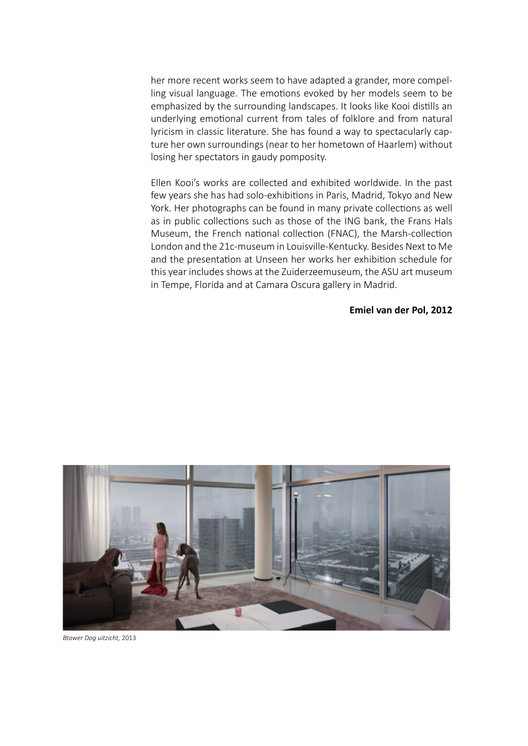her more recent works seem to have adapted a grander, more compelling visual language. The emotions evoked by her models seem to be emphasized by the surrounding landscapes. It looks like Kooi distills an underlying emotional current from tales of folklore and from natural lyricism in classic literature. She has found a way to spectacularly capture her own surroundings (near to her hometown of Haarlem) without losing her spectators in gaudy pomposity.

Ellen Kooi's works are collected and exhibited worldwide. In the past few years she has had solo-exhibitions in Paris, Madrid, Tokyo and New York. Her photographs can be found in many private collections as well as in public collections such as those of the ING bank, the Frans Hals Museum, the French national collection (FNAC), the Marsh-collection London and the 21c-museum in Louisville-Kentucky. Besides Next to Me and the presentation at Unseen her works her exhibition schedule for this year includes shows at the Zuiderzeemuseum, the ASU art museum in Tempe, Florida and at Camara Oscura gallery in Madrid.

## **Emiel van der Pol, 2012**



*Btower Dog uitzicht,* 2013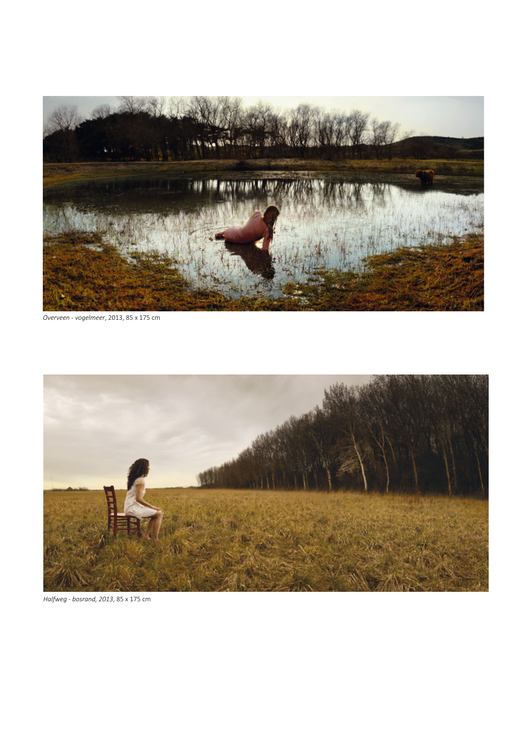

*Overveen - vogelmeer*, 2013, 85 x 175 cm



*Halfweg - bosrand, 2013*, 85 x 175 cm